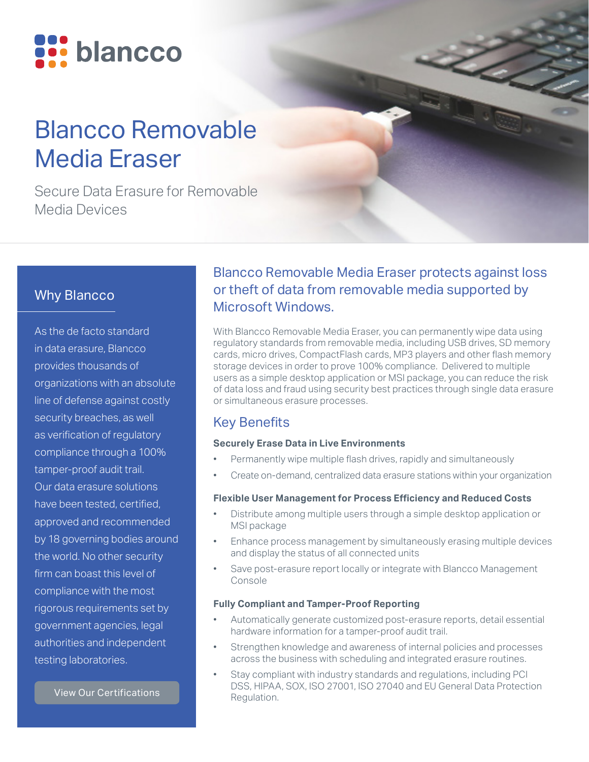

# Blancco Removable Media Eraser

Secure Data Erasure for Removable Media Devices

# Why Blancco

As the de facto standard in data erasure, Blancco provides thousands of organizations with an absolute line of defense against costly security breaches, as well as verification of regulatory compliance through a 100% tamper-proof audit trail. Our data erasure solutions have been tested, certified, approved and recommended by 18 governing bodies around the world. No other security firm can boast this level of compliance with the most rigorous requirements set by government agencies, legal authorities and independent testing laboratories.

[View Our Certifications](https://www.blancco.com/wp-content/uploads/2016/06/certifications_fact_sheet_eng.pdf)

# Blancco Removable Media Eraser protects against loss or theft of data from removable media supported by Microsoft Windows.

With Blancco Removable Media Eraser, you can permanently wipe data using regulatory standards from removable media, including USB drives, SD memory cards, micro drives, CompactFlash cards, MP3 players and other flash memory storage devices in order to prove 100% compliance. Delivered to multiple users as a simple desktop application or MSI package, you can reduce the risk of data loss and fraud using security best practices through single data erasure or simultaneous erasure processes.

## Key Benefits

### **Securely Erase Data in Live Environments**

- Permanently wipe multiple flash drives, rapidly and simultaneously
- Create on-demand, centralized data erasure stations within your organization

### **Flexible User Management for Process Efficiency and Reduced Costs**

- Distribute among multiple users through a simple desktop application or MSI package
- Enhance process management by simultaneously erasing multiple devices and display the status of all connected units
- Save post-erasure report locally or integrate with Blancco Management Console

### **Fully Compliant and Tamper-Proof Reporting**

- Automatically generate customized post-erasure reports, detail essential hardware information for a tamper-proof audit trail.
- Strengthen knowledge and awareness of internal policies and processes across the business with scheduling and integrated erasure routines.
- Stay compliant with industry standards and regulations, including PCI DSS, HIPAA, SOX, ISO 27001, ISO 27040 and EU General Data Protection Regulation.